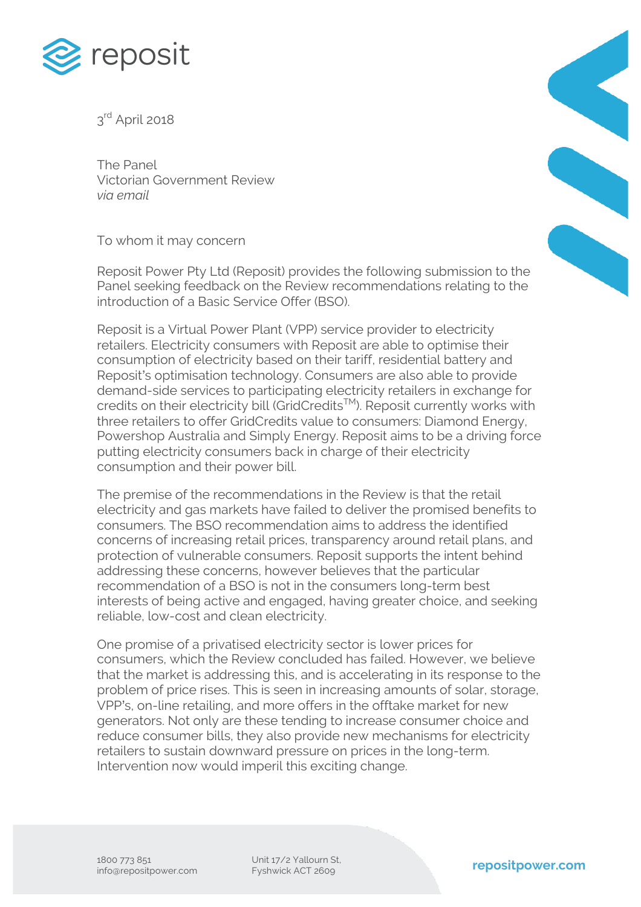

3rd April 2018

The Panel Victorian Government Review *via email*

To whom it may concern

Reposit Power Pty Ltd (Reposit) provides the following submission to the Panel seeking feedback on the Review recommendations relating to the introduction of a Basic Service Offer (BSO).

Reposit is a Virtual Power Plant (VPP) service provider to electricity retailers. Electricity consumers with Reposit are able to optimise their consumption of electricity based on their tariff, residential battery and Reposit's optimisation technology. Consumers are also able to provide demand-side services to participating electricity retailers in exchange for credits on their electricity bill (GridCredits™). Reposit currently works with three retailers to offer GridCredits value to consumers: Diamond Energy, Powershop Australia and Simply Energy. Reposit aims to be a driving force putting electricity consumers back in charge of their electricity consumption and their power bill.

The premise of the recommendations in the Review is that the retail electricity and gas markets have failed to deliver the promised benefits to consumers. The BSO recommendation aims to address the identified concerns of increasing retail prices, transparency around retail plans, and protection of vulnerable consumers. Reposit supports the intent behind addressing these concerns, however believes that the particular recommendation of a BSO is not in the consumers long-term best interests of being active and engaged, having greater choice, and seeking reliable, low-cost and clean electricity.

One promise of a privatised electricity sector is lower prices for consumers, which the Review concluded has failed. However, we believe that the market is addressing this, and is accelerating in its response to the problem of price rises. This is seen in increasing amounts of solar, storage, VPP's, on-line retailing, and more offers in the offtake market for new generators. Not only are these tending to increase consumer choice and reduce consumer bills, they also provide new mechanisms for electricity retailers to sustain downward pressure on prices in the long-term. Intervention now would imperil this exciting change.



Unit 17/2 Yallourn St,<br>Fyshwick ACT 2609